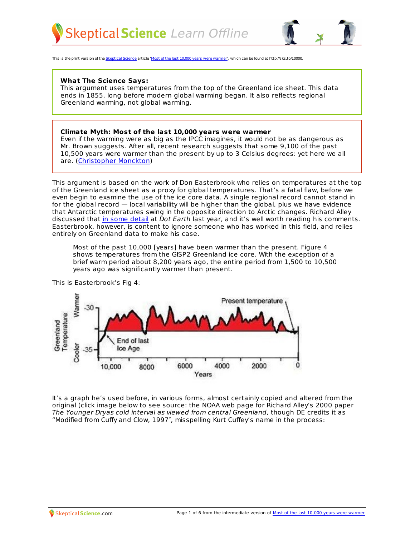



This is the print version of the [Skeptical](http://skepticalscience.com) Science article 'Most of the last 10,000 years were [warmer](http://skepticalscience.com/10000-years-warmer.htm)', which can be found at http://sks.to/10000.

## **What The Science Says:**

This argument uses temperatures from the top of the Greenland ice sheet. This data ends in 1855, long before modern global warming began. It also reflects regional Greenland warming, not global warming.

## **Climate Myth: Most of the last 10,000 years were warmer**

Even if the warming were as big as the IPCC imagines, it would not be as dangerous as Mr. Brown suggests. After all, recent research suggests that some 9,100 of the past 10,500 years were warmer than the present by up to 3 Celsius degrees: yet here we all are. [\(Christopher](http://scienceandpublicpolicy.org/images/stories/papers/originals/brisbane_floods.pdf) Monckton)

This argument is based on the work of Don Easterbrook who relies on temperatures at the top of the Greenland ice sheet as a proxy for global temperatures. That's a fatal flaw, before we even begin to examine the use of the ice core data. A single regional record cannot stand in for the global record — local variability will be higher than the global, plus we have evidence that Antarctic temperatures swing in the opposite direction to Arctic changes. Richard Alley discussed that in some [detail](http://dotearth.blogs.nytimes.com/2010/02/08/richard-alley-on-old-ice-climate-and-co2/) at Dot Earth last year, and it's well worth reading his comments. Easterbrook, however, is content to ignore someone who has worked in this field, and relies entirely on Greenland data to make his case.

Most of the past 10,000 [years] have been warmer than the present. Figure 4 shows temperatures from the GISP2 Greenland ice core. With the exception of a brief warm period about 8,200 years ago, the entire period from 1,500 to 10,500 years ago was significantly warmer than present.

This is Easterbrook's Fig 4:



It's a graph he's used before, in various forms, almost certainly copied and altered from the original (click image below to see source: the NOAA web page for Richard Alley's 2000 paper The Younger Dryas cold interval as viewed from central Greenland, though DE credits it as "Modified from Cuffy and Clow, 1997″, misspelling Kurt Cuffey's name in the process: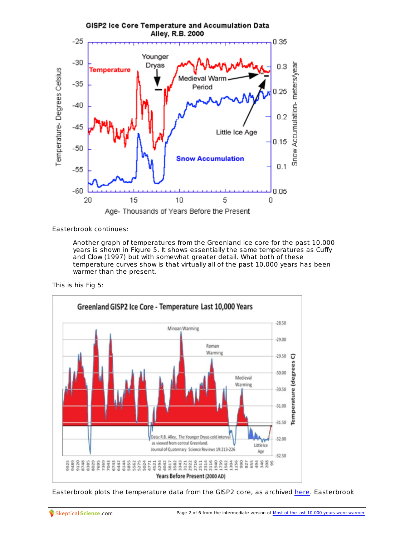

Easterbrook continues:

Another graph of temperatures from the Greenland ice core for the past 10,000 years is shown in Figure 5. It shows essentially the same temperatures as Cuffy and Clow (1997) but with somewhat greater detail. What both of these temperature curves show is that virtually all of the past 10,000 years has been warmer than the present.

This is his Fig 5:



[Easterbrook](http://skepticalscience.com/10000-years-warmer.htm) plots the temperature data from the GISP2 core, as archived [here](ftp://ftp.ncdc.noaa.gov/pub/data/paleo/icecore/greenland/summit/gisp2/isotopes/gisp2_temp_accum_alley2000.txt). Easterbrook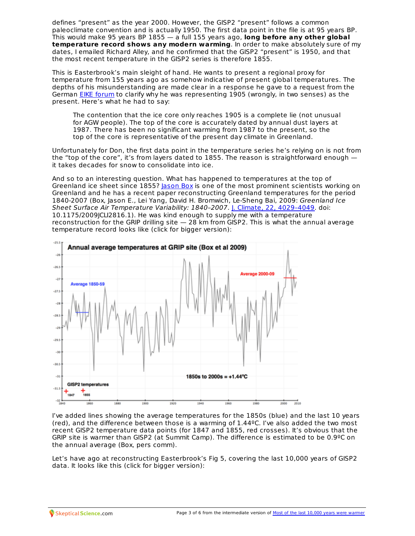defines "present" as the year 2000. However, the GISP2 "present" follows a common paleoclimate convention and is actually 1950. The first data point in the file is at 95 years BP. This would make 95 years BP 1855 — a full 155 years ago, **long before any other global temperature record shows any modern warming**. In order to make absolutely sure of my dates, I emailed Richard Alley, and he confirmed that the GISP2 "present" is 1950, and that the most recent temperature in the GISP2 series is therefore 1855.

This is Easterbrook's main sleight of hand. He wants to present a regional proxy for temperature from 155 years ago as somehow indicative of present global temperatures. The depths of his misunderstanding are made clear in a response he gave to a request from the German EIKE [forum](http://www.eike-klima-energie.eu/news-anzeige/2010-wo-steht-es-in-der-liste-der-waermsten-jahre/) to clarify why he was representing 1905 (wrongly, in two senses) as the present. Here's what he had to say:

The contention that the ice core only reaches 1905 is a complete lie (not unusual for AGW people). The top of the core is accurately dated by annual dust layers at 1987. There has been no significant warming from 1987 to the present, so the top of the core is representative of the present day climate in Greenland.

Unfortunately for Don, the first data point in the temperature series he's relying on is not from the "top of the core", it's from layers dated to 1855. The reason is straightforward enough it takes decades for snow to consolidate into ice.

And so to an interesting question. What has happened to temperatures at the top of Greenland ice sheet since 1855? [Jason](http://www.meltfactor.org/blog/) Box is one of the most prominent scientists working on Greenland and he has a recent paper reconstructing Greenland temperatures for the period 1840-2007 (Box, Jason E., Lei Yang, David H. Bromwich, Le-Sheng Bai, 2009: Greenland Ice Sheet Surface Air Temperature Variability: 1840-2007. J. Climate, 22, 4029-4049. doi: 10.1175/2009JCLI2816.1). He was kind enough to supply me with a temperature reconstruction for the GRIP drilling site  $-28$  km from GISP2. This is what the annual average temperature record looks like (click for bigger version):



I've added lines showing the average temperatures for the 1850s (blue) and the last 10 years (red), and the difference between those is a warming of 1.44ºC. I've also added the two most recent GISP2 temperature data points (for 1847 and 1855, red crosses). It's obvious that the GRIP site is warmer than GISP2 (at Summit Camp). The difference is estimated to be 0.9ºC on the annual average (Box, pers comm).

Let's have ago at reconstructing Easterbrook's Fig 5, covering the last 10,000 years of GISP2 data. It looks like this (click for bigger version):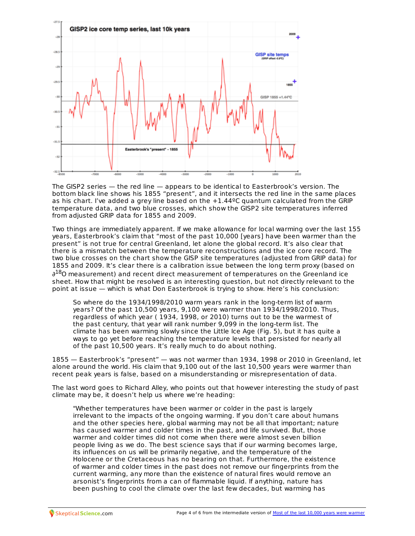

The GISP2 series — the red line — appears to be identical to Easterbrook's version. The bottom black line shows his 1855 "present", and it intersects the red line in the same places as his chart. I've added a grey line based on the +1.44ºC quantum calculated from the GRIP temperature data, and two blue crosses, which show the GISP2 site temperatures inferred from adjusted GRIP data for 1855 and 2009.

Two things are immediately apparent. If we make allowance for local warming over the last 155 years, Easterbrook's claim that "most of the past 10,000 [years] have been warmer than the present" is not true for central Greenland, let alone the global record. It's also clear that there is a mismatch between the temperature reconstructions and the ice core record. The two blue crosses on the chart show the GISP site temperatures (adjusted from GRIP data) for 1855 and 2009. It's clear there is a calibration issue between the long term proxy (based on ∂<sup>18</sup>O measurement) and recent direct measurement of temperatures on the Greenland ice sheet. How that might be resolved is an interesting question, but not directly relevant to the

point at issue — which is what Don Easterbrook is trying to show. Here's his conclusion:

So where do the 1934/1998/2010 warm years rank in the long-term list of warm years? Of the past 10,500 years, 9,100 were warmer than 1934/1998/2010. Thus, regardless of which year ( 1934, 1998, or 2010) turns out to be the warmest of the past century, that year will rank number 9,099 in the long-term list. The climate has been warming slowly since the Little Ice Age (Fig. 5), but it has quite a ways to go yet before reaching the temperature levels that persisted for nearly all of the past 10,500 years. It's really much to do about nothing.

1855 — Easterbrook's "present" — was not warmer than 1934, 1998 or 2010 in Greenland, let alone around the world. His claim that 9,100 out of the last 10,500 years were warmer than recent peak years is false, based on a misunderstanding or misrepresentation of data.

The last word goes to Richard Alley, who points out that however interesting the study of past climate may be, it doesn't help us where we're heading:

"Whether temperatures have been warmer or colder in the past is largely irrelevant to the impacts of the ongoing warming. If you don't care about humans and the other species here, global warming may not be all that important; nature has caused warmer and colder times in the past, and life survived. But, those warmer and colder times did not come when there were almost seven billion people living as we do. The best science says that if our warming becomes large, its influences on us will be primarily negative, and the temperature of the Holocene or the Cretaceous has no bearing on that. Furthermore, the existence of warmer and colder times in the past does not remove our fingerprints from the current warming, any more than the existence of natural fires would remove an arsonist's fingerprints from a can of flammable liquid. If anything, nature has been pushing to cool the climate over the last few decades, but [warming](http://skepticalscience.com/10000-years-warmer.htm) has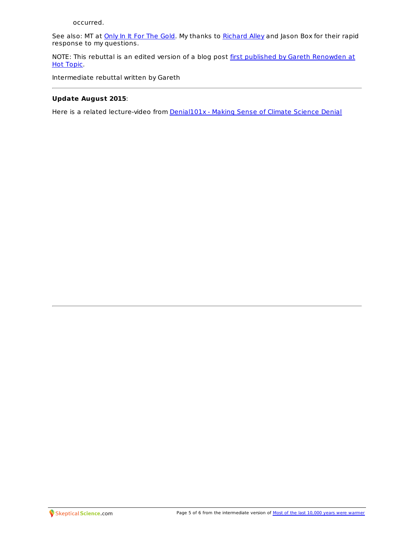See also: MT at *[Only](http://initforthegold.blogspot.com/2011/01/garbled-reasoning-at-wuwt.html) In It For The Gold*. My thanks to **[Richard](http://hot-topic.co.nz/would-you-give-this-man-any-creedence/) Alley** and Jason Box for their rapid response to my questions.

NOTE: This rebuttal is an edited version of a blog post first published by Gareth [Renowden](http://hot-topic.co.nz/easterbrooks-wrong-again/) at Hot Topic.

Intermediate rebuttal written by Gareth

## **Update August 2015**:

Here is a related lecture-video from **[Denial101x](https://www.edx.org/course/making-sense-climate-science-denial-uqx-denial101x-0)** - Making Sense of Climate Science Denial